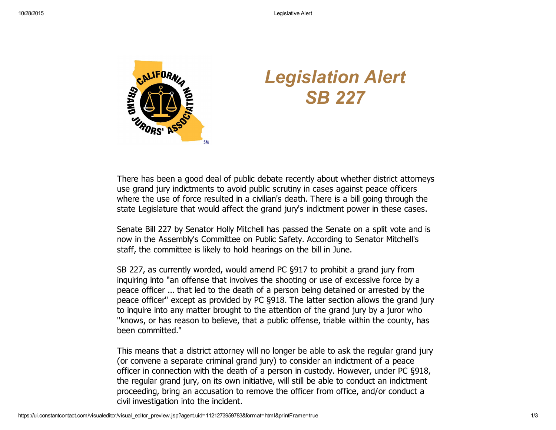

## *Legislation Alert SB 227*

There has been a good deal of public debate recently about whether district attorneys use grand jury indictments to avoid public scrutiny in cases against peace officers where the use of force resulted in a civilian's death. There is a bill going through the state Legislature that would affect the grand jury's indictment power in these cases.

Senate Bill 227 by Senator Holly Mitchell has passed the Senate on a split vote and is now in the Assembly's Committee on Public Safety. According to Senator Mitchell's staff, the committee is likely to hold hearings on the bill in June.

SB 227, as currently worded, would amend PC §917 to prohibit a grand jury from inquiring into "an offense that involves the shooting or use of excessive force by a peace officer ... that led to the death of a person being detained or arrested by the peace officer" except as provided by PC §918. The latter section allows the grand jury to inquire into any matter brought to the attention of the grand jury by a juror who "knows, or has reason to believe, that a public offense, triable within the county, has been committed."

This means that a district attorney will no longer be able to ask the regular grand jury (or convene a separate criminal grand jury) to consider an indictment of a peace officer in connection with the death of a person in custody. However, under PC §918, the regular grand jury, on its own initiative, will still be able to conduct an indictment proceeding, bring an accusation to remove the officer from office, and/or conduct a civil investigation into the incident.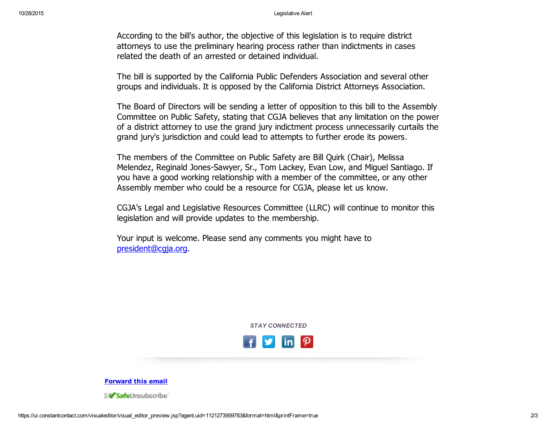According to the bill's author, the objective of this legislation is to require district attorneys to use the preliminary hearing process rather than indictments in cases related the death of an arrested or detained individual.

The bill is supported by the California Public Defenders Association and several other groups and individuals. It is opposed by the California District Attorneys Association.

The Board of Directors will be sending a letter of opposition to this bill to the Assembly Committee on Public Safety, stating that CGJA believes that any limitation on the power of a district attorney to use the grand jury indictment process unnecessarily curtails the grand jury's jurisdiction and could lead to attempts to further erode its powers.

The members of the Committee on Public Safety are Bill Quirk (Chair), Melissa Melendez, Reginald Jones-Sawyer, Sr., Tom Lackey, Evan Low, and Miguel Santiago. If you have a good working relationship with a member of the committee, or any other Assembly member who could be a resource for CGJA, please let us know.

CGJA's Legal and Legislative Resources Committee (LLRC) will continue to monitor this legislation and will provide updates to the membership.

Your input is welcome. Please send any comments you might have to [president@cgja.org.](mailto:president@cgja.org)

*STAY CONNECTED*



[Forward](http://ui.constantcontact.com/sa/fwtf.jsp?llr=kv9vjfnab&m=1113648196266&ea=cgjaprguy@roadrunner.com&a=1121273959783&id=preview) this email

≫<mark>⁄ Safe</mark>Unsubscribe`